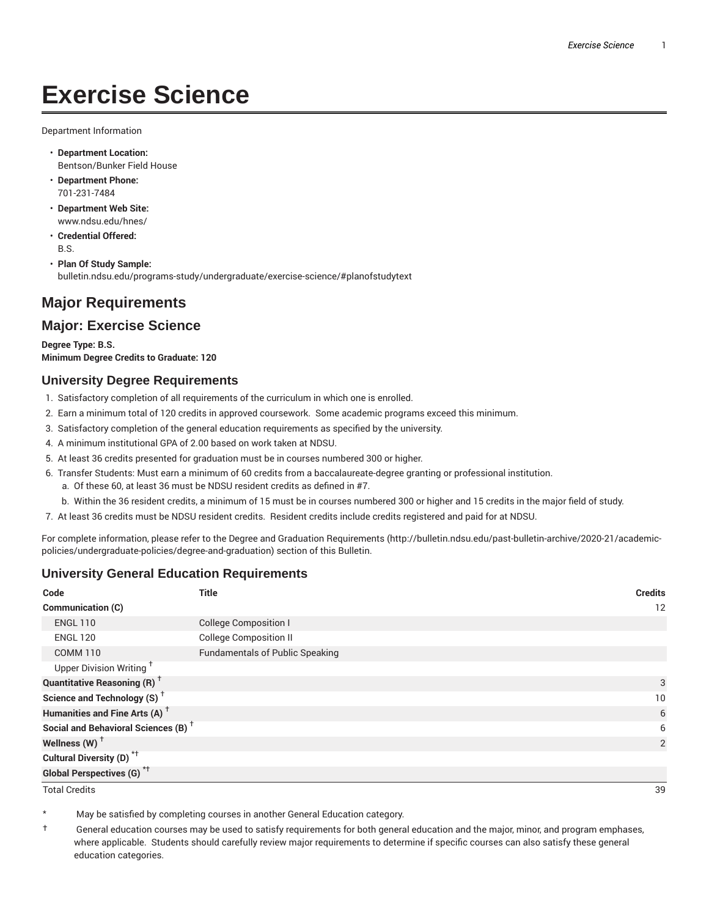# **Exercise Science**

Department Information

- **Department Location:** Bentson/Bunker Field House
- **Department Phone:** 701-231-7484
- **Department Web Site:** www.ndsu.edu/hnes/
- **Credential Offered:** B.S.

• **Plan Of Study Sample:** bulletin.ndsu.edu/programs-study/undergraduate/exercise-science/#planofstudytext

# **Major Requirements**

# **Major: Exercise Science**

**Degree Type: B.S. Minimum Degree Credits to Graduate: 120**

#### **University Degree Requirements**

- 1. Satisfactory completion of all requirements of the curriculum in which one is enrolled.
- 2. Earn a minimum total of 120 credits in approved coursework. Some academic programs exceed this minimum.
- 3. Satisfactory completion of the general education requirements as specified by the university.
- 4. A minimum institutional GPA of 2.00 based on work taken at NDSU.
- 5. At least 36 credits presented for graduation must be in courses numbered 300 or higher.
- 6. Transfer Students: Must earn a minimum of 60 credits from a baccalaureate-degree granting or professional institution.
	- a. Of these 60, at least 36 must be NDSU resident credits as defined in #7.
	- b. Within the 36 resident credits, a minimum of 15 must be in courses numbered 300 or higher and 15 credits in the major field of study.
- 7. At least 36 credits must be NDSU resident credits. Resident credits include credits registered and paid for at NDSU.

For complete information, please refer to the Degree and Graduation Requirements (http://bulletin.ndsu.edu/past-bulletin-archive/2020-21/academicpolicies/undergraduate-policies/degree-and-graduation) section of this Bulletin.

# **University General Education Requirements**

| Code                                            | <b>Title</b>                           | <b>Credits</b> |
|-------------------------------------------------|----------------------------------------|----------------|
| Communication (C)                               |                                        | 12             |
| <b>ENGL 110</b>                                 | <b>College Composition I</b>           |                |
| <b>ENGL 120</b>                                 | <b>College Composition II</b>          |                |
| <b>COMM 110</b>                                 | <b>Fundamentals of Public Speaking</b> |                |
| Upper Division Writing <sup>+</sup>             |                                        |                |
| <b>Quantitative Reasoning (R)</b> <sup>†</sup>  |                                        | 3              |
| Science and Technology (S) <sup>+</sup>         |                                        | 10             |
| Humanities and Fine Arts (A) <sup>+</sup>       |                                        | 6              |
| Social and Behavioral Sciences (B) <sup>+</sup> |                                        | 6              |
| Wellness $(W)$ <sup>+</sup>                     |                                        | 2              |
| Cultural Diversity (D) <sup>*†</sup>            |                                        |                |
| <b>Global Perspectives (G)<sup>*†</sup></b>     |                                        |                |

Total Credits 39

May be satisfied by completing courses in another General Education category.

† General education courses may be used to satisfy requirements for both general education and the major, minor, and program emphases, where applicable. Students should carefully review major requirements to determine if specific courses can also satisfy these general education categories.